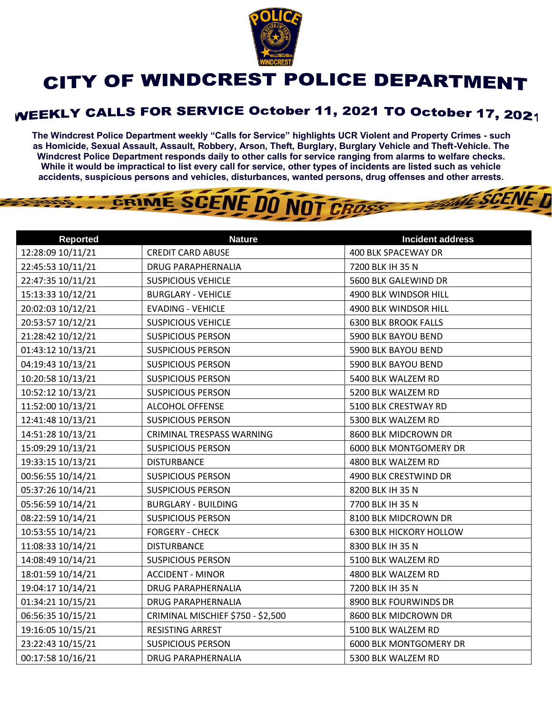

## **CITY OF WINDCREST POLICE DEPARTMENT**

## **WEEKLY CALLS FOR SERVICE October 11, 2021 TO October 17, 2021**

**The Windcrest Police Department weekly "Calls for Service" highlights UCR Violent and Property Crimes - such as Homicide, Sexual Assault, Assault, Robbery, Arson, Theft, Burglary, Burglary Vehicle and Theft-Vehicle. The Windcrest Police Department responds daily to other calls for service ranging from alarms to welfare checks. While it would be impractical to list every call for service, other types of incidents are listed such as vehicle accidents, suspicious persons and vehicles, disturbances, wanted persons, drug offenses and other arrests.** 

THE SCENE D

## GRIME SCENE DO NOT CROSS

| <b>Reported</b>   | <b>Nature</b>                     | <b>Incident address</b>        |
|-------------------|-----------------------------------|--------------------------------|
| 12:28:09 10/11/21 | <b>CREDIT CARD ABUSE</b>          | 400 BLK SPACEWAY DR            |
| 22:45:53 10/11/21 | <b>DRUG PARAPHERNALIA</b>         | 7200 BLK IH 35 N               |
| 22:47:35 10/11/21 | <b>SUSPICIOUS VEHICLE</b>         | 5600 BLK GALEWIND DR           |
| 15:13:33 10/12/21 | <b>BURGLARY - VEHICLE</b>         | 4900 BLK WINDSOR HILL          |
| 20:02:03 10/12/21 | <b>EVADING - VEHICLE</b>          | 4900 BLK WINDSOR HILL          |
| 20:53:57 10/12/21 | <b>SUSPICIOUS VEHICLE</b>         | <b>6300 BLK BROOK FALLS</b>    |
| 21:28:42 10/12/21 | <b>SUSPICIOUS PERSON</b>          | 5900 BLK BAYOU BEND            |
| 01:43:12 10/13/21 | <b>SUSPICIOUS PERSON</b>          | 5900 BLK BAYOU BEND            |
| 04:19:43 10/13/21 | <b>SUSPICIOUS PERSON</b>          | 5900 BLK BAYOU BEND            |
| 10:20:58 10/13/21 | <b>SUSPICIOUS PERSON</b>          | 5400 BLK WALZEM RD             |
| 10:52:12 10/13/21 | <b>SUSPICIOUS PERSON</b>          | 5200 BLK WALZEM RD             |
| 11:52:00 10/13/21 | ALCOHOL OFFENSE                   | 5100 BLK CRESTWAY RD           |
| 12:41:48 10/13/21 | <b>SUSPICIOUS PERSON</b>          | 5300 BLK WALZEM RD             |
| 14:51:28 10/13/21 | CRIMINAL TRESPASS WARNING         | 8600 BLK MIDCROWN DR           |
| 15:09:29 10/13/21 | <b>SUSPICIOUS PERSON</b>          | 6000 BLK MONTGOMERY DR         |
| 19:33:15 10/13/21 | <b>DISTURBANCE</b>                | 4800 BLK WALZEM RD             |
| 00:56:55 10/14/21 | <b>SUSPICIOUS PERSON</b>          | 4900 BLK CRESTWIND DR          |
| 05:37:26 10/14/21 | <b>SUSPICIOUS PERSON</b>          | 8200 BLK IH 35 N               |
| 05:56:59 10/14/21 | <b>BURGLARY - BUILDING</b>        | 7700 BLK IH 35 N               |
| 08:22:59 10/14/21 | <b>SUSPICIOUS PERSON</b>          | 8100 BLK MIDCROWN DR           |
| 10:53:55 10/14/21 | <b>FORGERY - CHECK</b>            | <b>6300 BLK HICKORY HOLLOW</b> |
| 11:08:33 10/14/21 | <b>DISTURBANCE</b>                | 8300 BLK IH 35 N               |
| 14:08:49 10/14/21 | <b>SUSPICIOUS PERSON</b>          | 5100 BLK WALZEM RD             |
| 18:01:59 10/14/21 | <b>ACCIDENT - MINOR</b>           | 4800 BLK WALZEM RD             |
| 19:04:17 10/14/21 | <b>DRUG PARAPHERNALIA</b>         | 7200 BLK IH 35 N               |
| 01:34:21 10/15/21 | <b>DRUG PARAPHERNALIA</b>         | 8900 BLK FOURWINDS DR          |
| 06:56:35 10/15/21 | CRIMINAL MISCHIEF \$750 - \$2,500 | 8600 BLK MIDCROWN DR           |
| 19:16:05 10/15/21 | RESISTING ARREST                  | 5100 BLK WALZEM RD             |
| 23:22:43 10/15/21 | <b>SUSPICIOUS PERSON</b>          | 6000 BLK MONTGOMERY DR         |
| 00:17:58 10/16/21 | DRUG PARAPHERNALIA                | 5300 BLK WALZEM RD             |